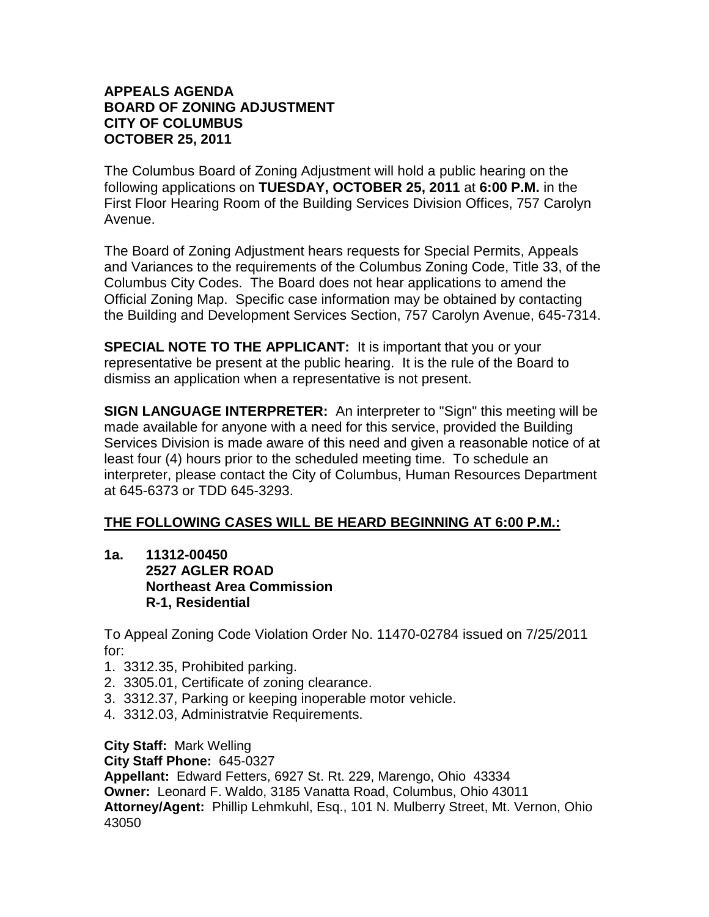## **APPEALS AGENDA BOARD OF ZONING ADJUSTMENT CITY OF COLUMBUS OCTOBER 25, 2011**

The Columbus Board of Zoning Adjustment will hold a public hearing on the following applications on **TUESDAY, OCTOBER 25, 2011** at **6:00 P.M.** in the First Floor Hearing Room of the Building Services Division Offices, 757 Carolyn Avenue.

The Board of Zoning Adjustment hears requests for Special Permits, Appeals and Variances to the requirements of the Columbus Zoning Code, Title 33, of the Columbus City Codes. The Board does not hear applications to amend the Official Zoning Map. Specific case information may be obtained by contacting the Building and Development Services Section, 757 Carolyn Avenue, 645-7314.

**SPECIAL NOTE TO THE APPLICANT:** It is important that you or your representative be present at the public hearing. It is the rule of the Board to dismiss an application when a representative is not present.

**SIGN LANGUAGE INTERPRETER:** An interpreter to "Sign" this meeting will be made available for anyone with a need for this service, provided the Building Services Division is made aware of this need and given a reasonable notice of at least four (4) hours prior to the scheduled meeting time. To schedule an interpreter, please contact the City of Columbus, Human Resources Department at 645-6373 or TDD 645-3293.

## **THE FOLLOWING CASES WILL BE HEARD BEGINNING AT 6:00 P.M.:**

**1a. 11312-00450 2527 AGLER ROAD Northeast Area Commission R-1, Residential** 

To Appeal Zoning Code Violation Order No. 11470-02784 issued on 7/25/2011 for:

- 1. 3312.35, Prohibited parking.
- 2. 3305.01, Certificate of zoning clearance.
- 3. 3312.37, Parking or keeping inoperable motor vehicle.
- 4. 3312.03, Administratvie Requirements.

**City Staff:** Mark Welling

**City Staff Phone:** 645-0327

**Appellant:** Edward Fetters, 6927 St. Rt. 229, Marengo, Ohio 43334 **Owner:** Leonard F. Waldo, 3185 Vanatta Road, Columbus, Ohio 43011 **Attorney/Agent:** Phillip Lehmkuhl, Esq., 101 N. Mulberry Street, Mt. Vernon, Ohio 43050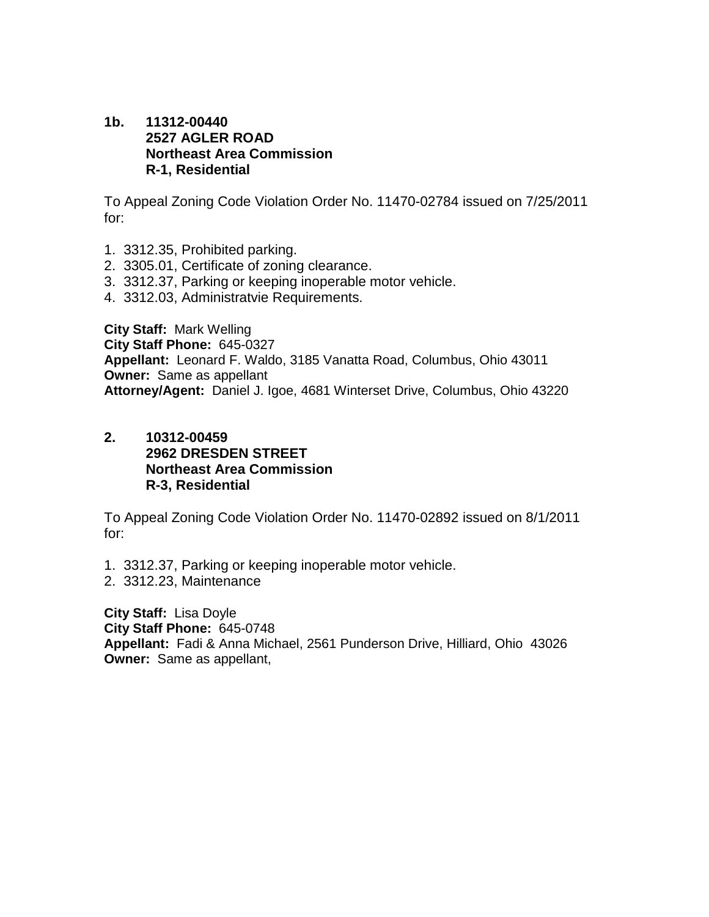## **1b. 11312-00440 2527 AGLER ROAD Northeast Area Commission R-1, Residential**

To Appeal Zoning Code Violation Order No. 11470-02784 issued on 7/25/2011 for:

- 1. 3312.35, Prohibited parking.
- 2. 3305.01, Certificate of zoning clearance.
- 3. 3312.37, Parking or keeping inoperable motor vehicle.
- 4. 3312.03, Administratvie Requirements.

**City Staff:** Mark Welling **City Staff Phone:** 645-0327 **Appellant:** Leonard F. Waldo, 3185 Vanatta Road, Columbus, Ohio 43011 **Owner:** Same as appellant **Attorney/Agent:** Daniel J. Igoe, 4681 Winterset Drive, Columbus, Ohio 43220

**2. 10312-00459 2962 DRESDEN STREET Northeast Area Commission R-3, Residential** 

To Appeal Zoning Code Violation Order No. 11470-02892 issued on 8/1/2011 for:

- 1. 3312.37, Parking or keeping inoperable motor vehicle.
- 2. 3312.23, Maintenance

**City Staff:** Lisa Doyle **City Staff Phone:** 645-0748 **Appellant:** Fadi & Anna Michael, 2561 Punderson Drive, Hilliard, Ohio 43026 **Owner:** Same as appellant,